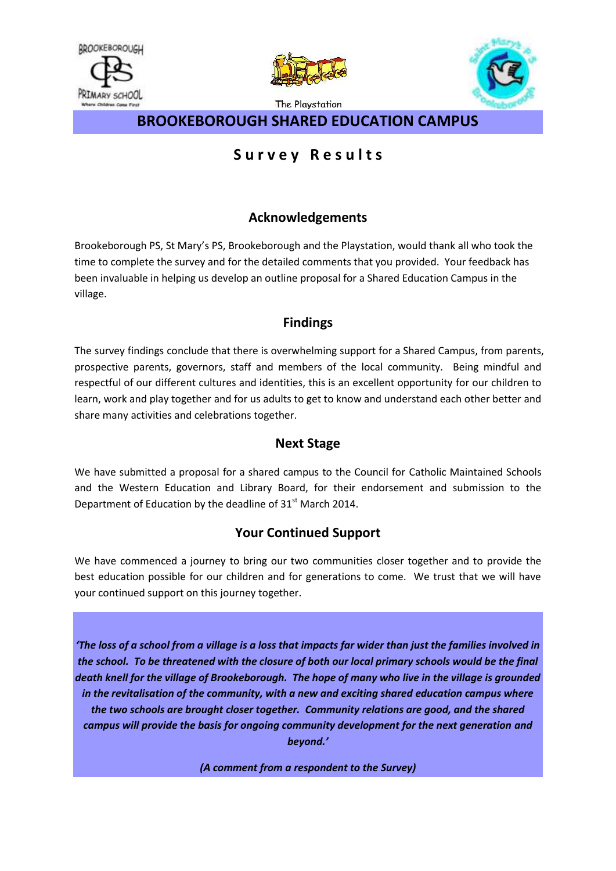



The Playstation



**BROOKEBOROUGH SHARED EDUCATION CAMPUS** 

# **S u r v e y R e s u l t s**

## **Acknowledgements**

Brookeborough PS, St Mary's PS, Brookeborough and the Playstation, would thank all who took the time to complete the survey and for the detailed comments that you provided. Your feedback has been invaluable in helping us develop an outline proposal for a Shared Education Campus in the village.

## **Findings**

The survey findings conclude that there is overwhelming support for a Shared Campus, from parents, prospective parents, governors, staff and members of the local community. Being mindful and respectful of our different cultures and identities, this is an excellent opportunity for our children to learn, work and play together and for us adults to get to know and understand each other better and share many activities and celebrations together.

## **Next Stage**

We have submitted a proposal for a shared campus to the Council for Catholic Maintained Schools and the Western Education and Library Board, for their endorsement and submission to the Department of Education by the deadline of  $31<sup>st</sup>$  March 2014.

## **Your Continued Support**

We have commenced a journey to bring our two communities closer together and to provide the best education possible for our children and for generations to come. We trust that we will have your continued support on this journey together.

*'The loss of a school from a village is a loss that impacts far wider than just the families involved in the school. To be threatened with the closure of both our local primary schools would be the final death knell for the village of Brookeborough. The hope of many who live in the village is grounded in the revitalisation of the community, with a new and exciting shared education campus where the two schools are brought closer together. Community relations are good, and the shared campus will provide the basis for ongoing community development for the next generation and beyond.'* 

*(A comment from a respondent to the Survey)*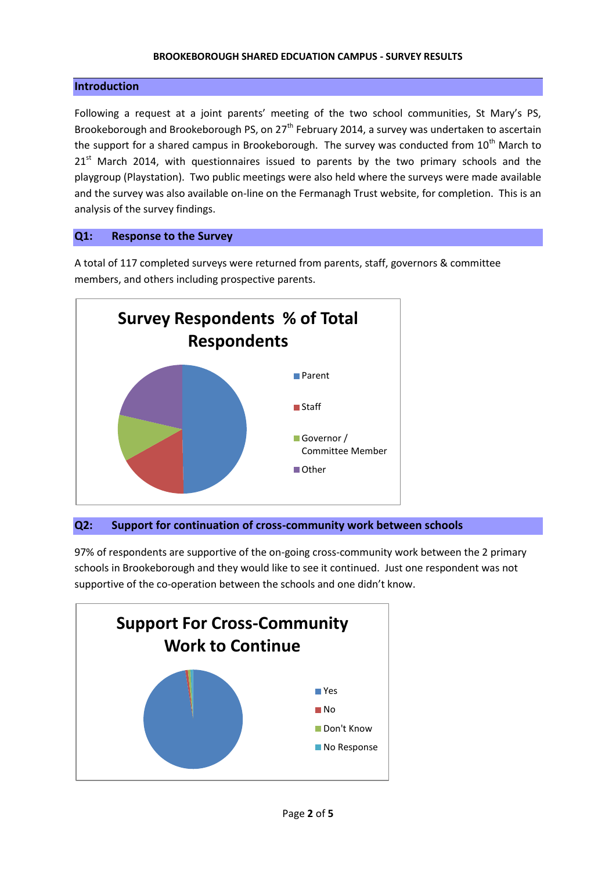#### **BROOKEBOROUGH SHARED EDCUATION CAMPUS - SURVEY RESULTS**

#### **Introduction**

Following a request at a joint parents' meeting of the two school communities, St Mary's PS, Brookeborough and Brookeborough PS, on 27<sup>th</sup> February 2014, a survey was undertaken to ascertain the support for a shared campus in Brookeborough. The survey was conducted from 10<sup>th</sup> March to  $21<sup>st</sup>$  March 2014, with questionnaires issued to parents by the two primary schools and the playgroup (Playstation). Two public meetings were also held where the surveys were made available and the survey was also available on-line on the Fermanagh Trust website, for completion. This is an analysis of the survey findings.

#### **Q1: Response to the Survey**

A total of 117 completed surveys were returned from parents, staff, governors & committee members, and others including prospective parents.



#### **Q2: Support for continuation of cross-community work between schools**

97% of respondents are supportive of the on-going cross-community work between the 2 primary schools in Brookeborough and they would like to see it continued. Just one respondent was not supportive of the co-operation between the schools and one didn't know.

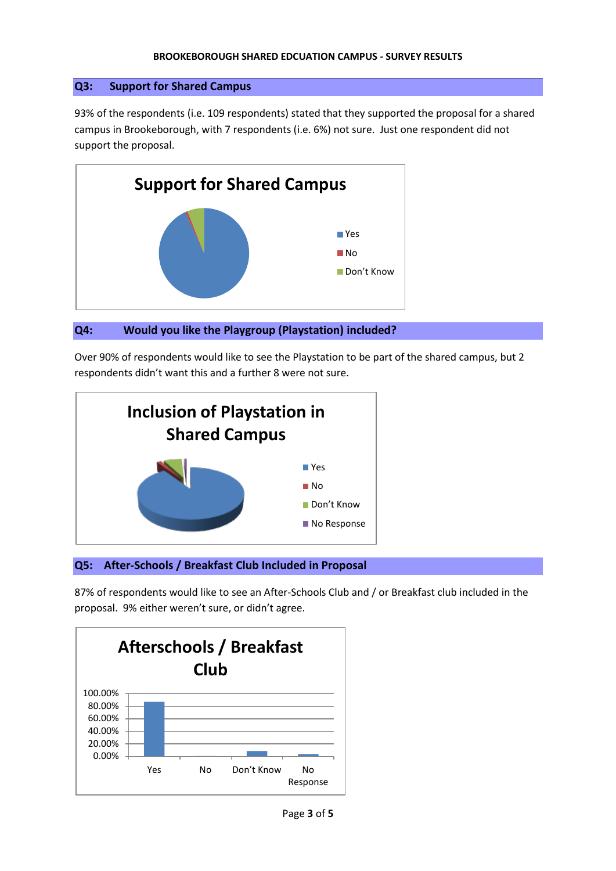#### **BROOKEBOROUGH SHARED EDCUATION CAMPUS - SURVEY RESULTS**

### **Q3: Support for Shared Campus**

93% of the respondents (i.e. 109 respondents) stated that they supported the proposal for a shared campus in Brookeborough, with 7 respondents (i.e. 6%) not sure. Just one respondent did not support the proposal.





Over 90% of respondents would like to see the Playstation to be part of the shared campus, but 2 respondents didn't want this and a further 8 were not sure.



## **Q5: After-Schools / Breakfast Club Included in Proposal**

87% of respondents would like to see an After-Schools Club and / or Breakfast club included in the proposal. 9% either weren't sure, or didn't agree.

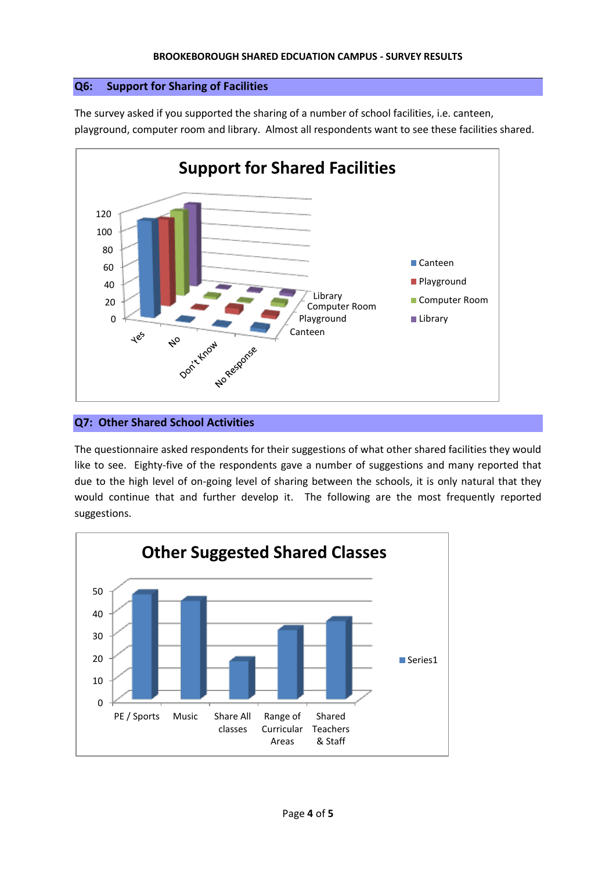## **Q6: Support for Sharing of Facilities**

The survey asked if you supported the sharing of a number of school facilities, i.e. canteen, playground, computer room and library. Almost all respondents want to see these facilities shared.



## **Q7: Other Shared School Activities**

The questionnaire asked respondents for their suggestions of what other shared facilities they would like to see. Eighty-five of the respondents gave a number of suggestions and many reported that due to the high level of on-going level of sharing between the schools, it is only natural that they would continue that and further develop it. The following are the most frequently reported suggestions.